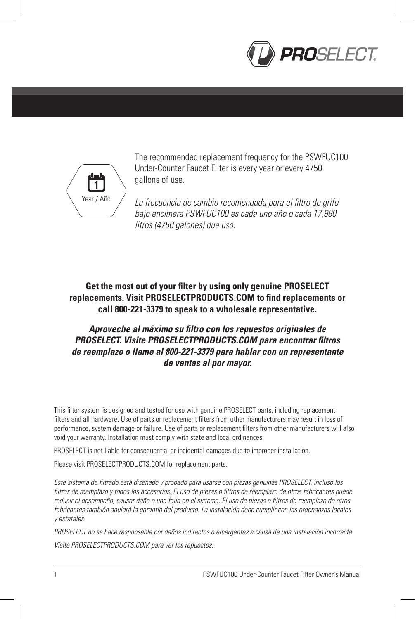



The recommended replacement frequency for the PSWFUC100 Under-Counter Faucet Filter is every year or every 4750 gallons of use.

*La frecuencia de cambio recomendada para el filtro de grifo bajo encimera PSWFUC100 es cada uno año o cada 17,980 litros (4750 galones) due uso.*

## **Get the most out of your filter by using only genuine PROSELECT replacements. Visit PROSELECTPRODUCTS.COM to find replacements or call 800-221-3379 to speak to a wholesale representative.**

## *Aproveche al máximo su filtro con los repuestos originales de PROSELECT. Visite PROSELECTPRODUCTS.COM para encontrar filtros de reemplazo o llame al 800-221-3379 para hablar con un representante de ventas al por mayor.*

This filter system is designed and tested for use with genuine PROSELECT parts, including replacement filters and all hardware. Use of parts or replacement filters from other manufacturers may result in loss of performance, system damage or failure. Use of parts or replacement filters from other manufacturers will also void your warranty. Installation must comply with state and local ordinances.

PROSELECT is not liable for consequential or incidental damages due to improper installation.

Please visit PROSELECTPRODUCTS.COM for replacement parts.

*Este sistema de filtrado está diseñado y probado para usarse con piezas genuinas PROSELECT, incluso los filtros de reemplazo y todos los accesorios. El uso de piezas o filtros de reemplazo de otros fabricantes puede reducir el desempeño, causar daño o una falla en el sistema. El uso de piezas o filtros de reemplazo de otros fabricantes también anulará la garantía del producto. La instalación debe cumplir con las ordenanzas locales y estatales.*

*PROSELECT no se hace responsable por daños indirectos o emergentes a causa de una instalación incorrecta. Visite PROSELECTPRODUCTS.COM para ver los repuestos.*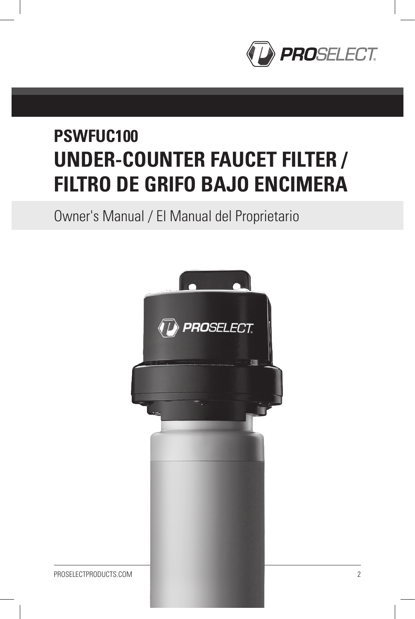

# **PSWFUC100 UNDER-COUNTER FAUCET FILTER / FILTRO DE GRIFO BAJO ENCIMERA**

Owner's Manual / El Manual del Proprietario

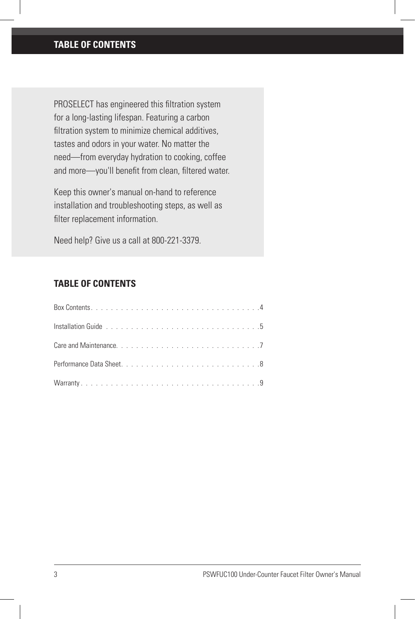## **TABLE OF CONTENTS**

PROSELECT has engineered this filtration system for a long-lasting lifespan. Featuring a carbon filtration system to minimize chemical additives, tastes and odors in your water. No matter the need—from everyday hydration to cooking, coffee and more—you'll benefit from clean, filtered water.

Keep this owner's manual on-hand to reference installation and troubleshooting steps, as well as filter replacement information.

Need help? Give us a call at 800-221-3379.

## **TABLE OF CONTENTS**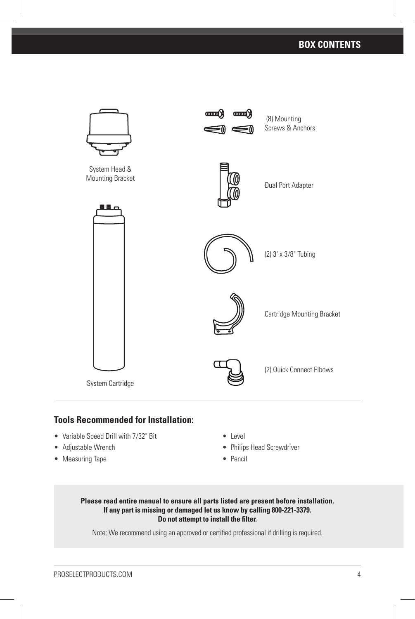## **BOX CONTENTS**



## **Tools Recommended for Installation:**

- Variable Speed Drill with 7/32" Bit
- Adjustable Wrench
- Measuring Tape
- Level
- Philips Head Screwdriver
- Pencil

#### **Please read entire manual to ensure all parts listed are present before installation. If any part is missing or damaged let us know by calling 800-221-3379. Do not attempt to install the filter.**

Note: We recommend using an approved or certified professional if drilling is required.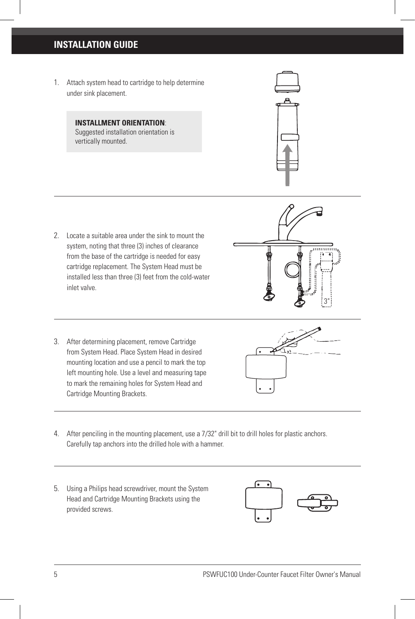## **INSTALLATION GUIDE**

1. Attach system head to cartridge to help determine under sink placement.

> **INSTALLMENT ORIENTATION**: Suggested installation orientation is vertically mounted.



- 2. Locate a suitable area under the sink to mount the system, noting that three (3) inches of clearance from the base of the cartridge is needed for easy cartridge replacement. The System Head must be installed less than three (3) feet from the cold-water inlet valve.
- 3. After determining placement, remove Cartridge from System Head. Place System Head in desired mounting location and use a pencil to mark the top left mounting hole. Use a level and measuring tape to mark the remaining holes for System Head and Cartridge Mounting Brackets.





- 4. After penciling in the mounting placement, use a 7/32" drill bit to drill holes for plastic anchors. Carefully tap anchors into the drilled hole with a hammer.
- 5. Using a Philips head screwdriver, mount the System Head and Cartridge Mounting Brackets using the provided screws.

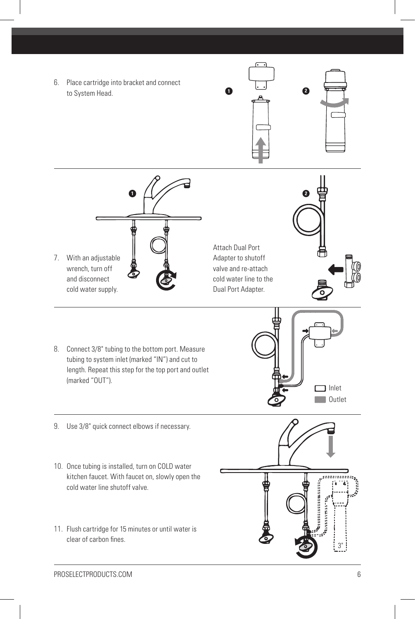6. Place cartridge into bracket and connect to System Head. **<sup>1</sup> <sup>2</sup>**







Attach Dual Port Adapter to shutoff valve and re-attach cold water line to the Dual Port Adapter.



- 8. Connect 3/8" tubing to the bottom port. Measure tubing to system inlet (marked "IN") and cut to length. Repeat this step for the top port and outlet (marked "OUT").
- 9. Use 3/8" quick connect elbows if necessary.
- 10. Once tubing is installed, turn on COLD water kitchen faucet. With faucet on, slowly open the cold water line shutoff valve.
- 11. Flush cartridge for 15 minutes or until water is clear of carbon fines.



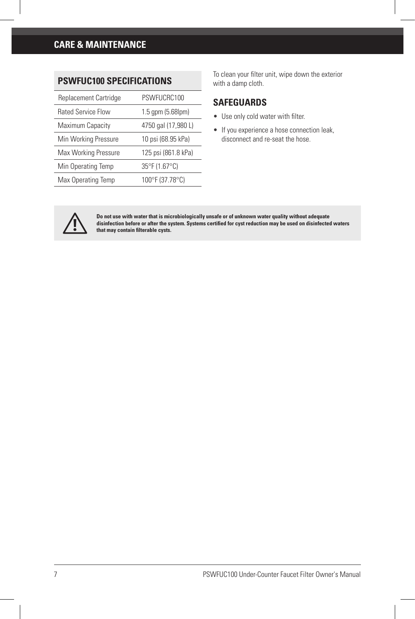**PSWFUC100 SPECIFICATIONS**

| Replacement Cartridge     | PSWFUCRC100               |
|---------------------------|---------------------------|
| <b>Rated Service Flow</b> | $1.5$ gpm $(5.68$ lpm $)$ |
| Maximum Capacity          | 4750 gal (17,980 L)       |
| Min Working Pressure      | 10 psi (68.95 kPa)        |
| Max Working Pressure      | 125 psi (861.8 kPa)       |
| Min Operating Temp        | 35°F (1.67°C)             |
| Max Operating Temp        | 100°F (37.78°C)           |

To clean your filter unit, wipe down the exterior with a damp cloth.

### **SAFEGUARDS**

- Use only cold water with filter.
- If you experience a hose connection leak, disconnect and re-seat the hose.



Do not use with water that is microbiologically unsafe or of unknown water quality without adequate<br>disinfection before or after the system. Systems certified for cyst reduction may be used on disinfected waters **that may contain filterable cysts.**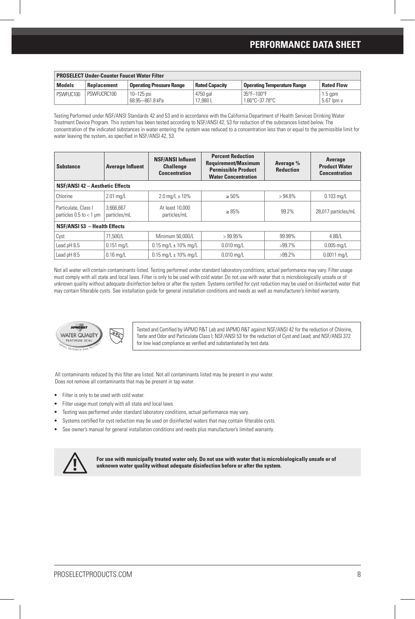### **PERFORMANCE DATA SHEET**

| <b>PROSELECT Under-Counter Faucet Water Filter</b> |             |                                   |                       |                                                   |                         |
|----------------------------------------------------|-------------|-----------------------------------|-----------------------|---------------------------------------------------|-------------------------|
| <b>Models</b>                                      | Replacement | <b>Operating Pressure Range</b>   | <b>Rated Capacity</b> | <b>Operating Temperature Range</b>                | <b>Rated Flow</b>       |
| PSWFUC100                                          | PSWFUCRC100 | $10 - 125$ psi<br>68.95-861.8 kPa | 4750 gal<br>17.980 L  | 35°F-100°F<br>$1.66^{\circ}$ C $-37.78^{\circ}$ C | $1.5$ apm<br>5.67 lpm v |

Testing Performed under NSF/ANSI Standards 42 and 53 and in accordance with the California Department of Health Services Drinking Water Treatment Device Program. This system has been tested according to NSF/ANSI 42, 53 for reduction of the substances listed below. The concentration of the indicated substances in water entering the system was reduced to a concentration less than or equal to the permissible limit for water leaving the system, as specified in NSF/ANSI 42, 53.

| <b>Substance</b>                                    | <b>Average Influent</b>                | <b>NSF/ANSI Influent</b><br><b>Challenge</b><br><b>Concentration</b> | <b>Percent Reduction</b><br><b>Requirement/Maximum</b><br><b>Permissible Product</b><br><b>Water Concentration</b> | Average %<br><b>Reduction</b> | Average<br><b>Product Water</b><br><b>Concentration</b> |  |  |
|-----------------------------------------------------|----------------------------------------|----------------------------------------------------------------------|--------------------------------------------------------------------------------------------------------------------|-------------------------------|---------------------------------------------------------|--|--|
|                                                     | <b>NSF/ANSI 42 - Aesthetic Effects</b> |                                                                      |                                                                                                                    |                               |                                                         |  |  |
| Chlorine                                            | $2.01$ mg/L                            | $2.0 \text{ mg/L} \pm 10\%$                                          | $\geq 50\%$                                                                                                        | $>94.8\%$                     | $0.103$ mg/L                                            |  |  |
| Particulate, Class I<br>particles $0.5$ to $<$ 1 um | 3.666.667<br>particles/mL              | At least 10,000<br>particles/mL                                      | $\geq 85\%$                                                                                                        | 99.2%                         | 28.017 particles/mL                                     |  |  |
| <b>NSF/ANSI 53 - Health Effects</b>                 |                                        |                                                                      |                                                                                                                    |                               |                                                         |  |  |
| Cyst                                                | 71.500/L                               | Minimum 50.000/L                                                     | >99.95%                                                                                                            | 99.99%                        | 4.88/L                                                  |  |  |
| Lead pH 6.5                                         | $0.151$ mg/L                           | $0.15$ mg/L $\pm$ 10% mg/L                                           | $0.010 \text{ ma/L}$                                                                                               | $>99.7\%$                     | $0.005 \,\mathrm{mq/L}$                                 |  |  |
| Lead pH 8.5                                         | $0.16$ ma/L                            | $0.15$ ma/L $\pm$ 10% ma/L                                           | $0.010 \text{ ma/L}$                                                                                               | $>99.2\%$                     | $0.0011$ ma/L                                           |  |  |

Not all water will contain contaminants listed. Testing performed under standard laboratory conditions; actual performance may vary. Filter usage must comply with all state and local laws. Filter is only to be used with cold water. Do not use with water that is microbiologically unsafe or of unknown quality without adequate disinfection before or after the system. Systems certified for cyst reduction may be used on disinfected water that may contain filterable cysts. See installation guide for general installation conditions and needs as well as manufacturer's limited warranty.



Tested and Certified by IAPMO R&T Lab and IAPMO R&T against NSF/ANSI 42 for the reduction of Chlorine, Taste and Odor and Particulate Class I; NSF/ANSI 53 for the reduction of Cyst and Lead; and NSF/ANSI 372 for low lead compliance as verified and substantiated by test data.

All contaminants reduced by this filter are listed. Not all contaminants listed may be present in your water. Does not remove all contaminants that may be present in tap water.

- Filter is only to be used with cold water.
- Filter usage must comply with all state and local laws.
- Testing was performed under standard laboratory conditions, actual performance may vary.
- Systems certified for cyst reduction may be used on disinfected waters that may contain filterable cysts.
- See owner's manual for general installation conditions and needs plus manufacturer's limited warranty.



**For use with municipally treated water only. Do not use with water that is microbiologically unsafe or of unknown water quality without adequate disinfection before or after the system.**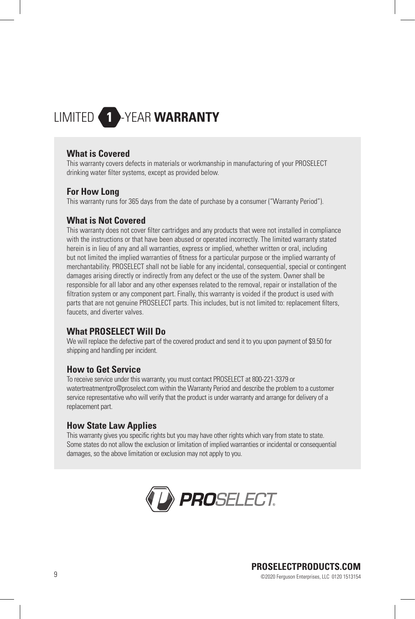## LIMITED -YEAR **WARRANTY**

#### **What is Covered**

This warranty covers defects in materials or workmanship in manufacturing of your PROSELECT drinking water filter systems, except as provided below.

#### **For How Long**

This warranty runs for 365 days from the date of purchase by a consumer ("Warranty Period").

#### **What is Not Covered**

This warranty does not cover filter cartridges and any products that were not installed in compliance with the instructions or that have been abused or operated incorrectly. The limited warranty stated herein is in lieu of any and all warranties, express or implied, whether written or oral, including but not limited the implied warranties of fitness for a particular purpose or the implied warranty of merchantability. PROSELECT shall not be liable for any incidental, consequential, special or contingent damages arising directly or indirectly from any defect or the use of the system. Owner shall be responsible for all labor and any other expenses related to the removal, repair or installation of the filtration system or any component part. Finally, this warranty is voided if the product is used with parts that are not genuine PROSELECT parts. This includes, but is not limited to: replacement filters, faucets, and diverter valves.

## **What PROSELECT Will Do**

We will replace the defective part of the covered product and send it to you upon payment of \$9.50 for shipping and handling per incident.

#### **How to Get Service**

To receive service under this warranty, you must contact PROSELECT at 800-221-3379 or watertreatmentpro@proselect.com within the Warranty Period and describe the problem to a customer service representative who will verify that the product is under warranty and arrange for delivery of a replacement part.

#### **How State Law Applies**

This warranty gives you specific rights but you may have other rights which vary from state to state. Some states do not allow the exclusion or limitation of implied warranties or incidental or consequential damages, so the above limitation or exclusion may not apply to you.



## **PROSELECTPRODUCTS.COM**

9 ©2020 Ferguson Enterprises, LLC 0120 1513154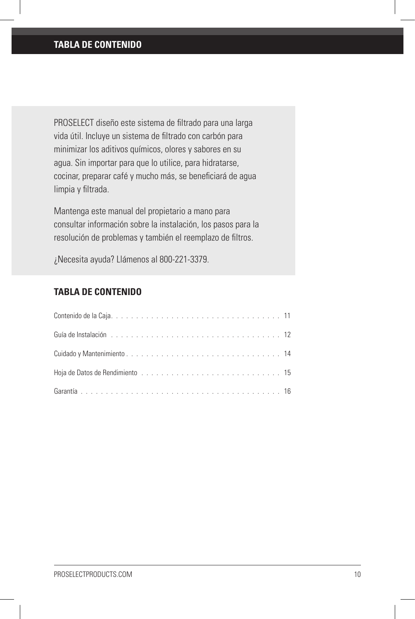## **TABLA DE CONTENIDO**

PROSELECT diseño este sistema de filtrado para una larga vida útil. Incluye un sistema de filtrado con carbón para minimizar los aditivos químicos, olores y sabores en su agua. Sin importar para que lo utilice, para hidratarse, cocinar, preparar café y mucho más, se beneficiará de agua limpia y filtrada.

Mantenga este manual del propietario a mano para consultar información sobre la instalación, los pasos para la resolución de problemas y también el reemplazo de filtros.

¿Necesita ayuda? Llámenos al 800-221-3379.

## **TABLA DE CONTENIDO**

| Guía de Instalación (1990), 1990, 1990, 1990, 1990, 1990, 1990, 1990, 1990, 1990, 1990, 1990, 1990, 1990, 1990 |  |
|----------------------------------------------------------------------------------------------------------------|--|
|                                                                                                                |  |
|                                                                                                                |  |
|                                                                                                                |  |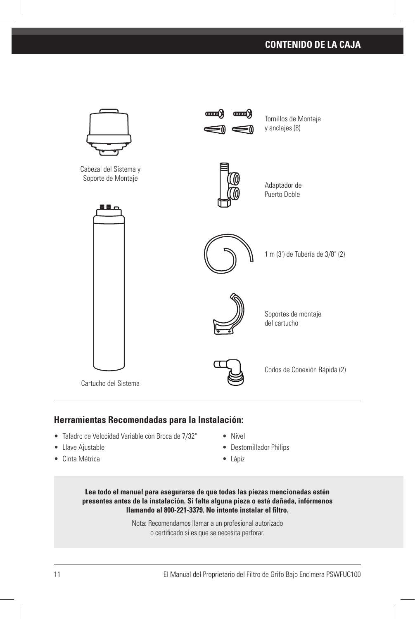## **CONTENIDO DE LA CAJA**



#### **Herramientas Recomendadas para la Instalación:**

- Taladro de Velocidad Variable con Broca de 7/32"
- Llave Ajustable
- Cinta Métrica
- Nivel
- Destornillador Philips
- Lápiz

**Lea todo el manual para asegurarse de que todas las piezas mencionadas estén presentes antes de la instalación. Si falta alguna pieza o está dañada, infórmenos llamando al 800-221-3379. No intente instalar el filtro.**

> Nota: Recomendamos llamar a un profesional autorizado o certificado si es que se necesita perforar.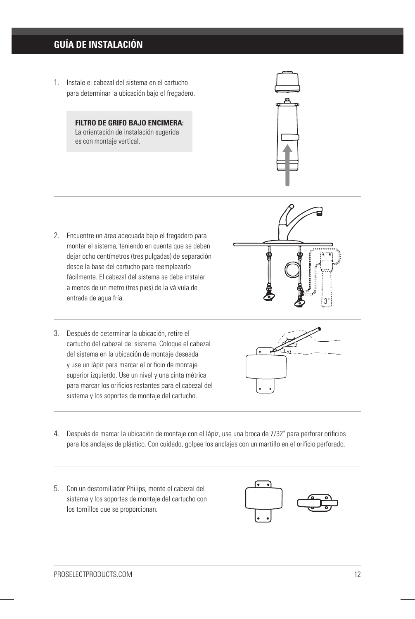## **GUÍA DE INSTALACIÓN**

1. Instale el cabezal del sistema en el cartucho para determinar la ubicación bajo el fregadero.

> **FILTRO DE GRIFO BAJO ENCIMERA:** La orientación de instalación sugerida es con montaje vertical.



- 2. Encuentre un área adecuada bajo el fregadero para montar el sistema, teniendo en cuenta que se deben dejar ocho centímetros (tres pulgadas) de separación desde la base del cartucho para reemplazarlo fácilmente. El cabezal del sistema se debe instalar a menos de un metro (tres pies) de la válvula de entrada de agua fría.
- 3. Después de determinar la ubicación, retire el cartucho del cabezal del sistema. Coloque el cabezal del sistema en la ubicación de montaje deseada y use un lápiz para marcar el orificio de montaje superior izquierdo. Use un nivel y una cinta métrica para marcar los orificios restantes para el cabezal del sistema y los soportes de montaje del cartucho.





- 4. Después de marcar la ubicación de montaje con el lápiz, use una broca de 7/32" para perforar orificios para los anclajes de plástico. Con cuidado, golpee los anclajes con un martillo en el orificio perforado.
- 5. Con un destornillador Philips, monte el cabezal del sistema y los soportes de montaje del cartucho con los tornillos que se proporcionan.

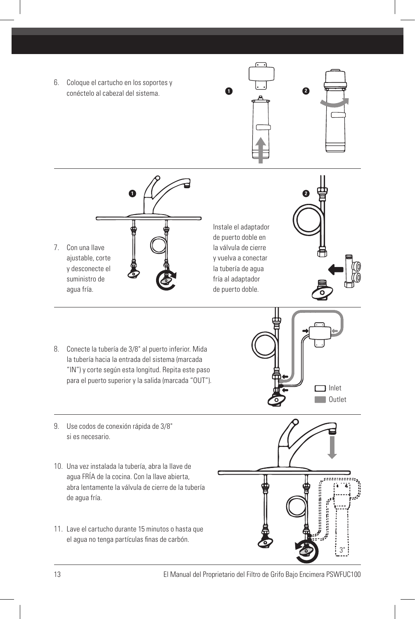6. Coloque el cartucho en los soportes y conéctelo al cabezal del sistema. **<sup>1</sup> <sup>2</sup>**





7. Con una llave ajustable, corte y desconecte el suministro de

Instale el adaptador de puerto doble en la válvula de cierre y vuelva a conectar la tubería de agua fría al adaptador de puerto doble.



8. Conecte la tubería de 3/8" al puerto inferior. Mida la tubería hacia la entrada del sistema (marcada "IN") y corte según esta longitud. Repita este paso para el puerto superior y la salida (marcada "OUT").



9. Use codos de conexión rápida de 3/8" si es necesario.

agua fría.

- 10. Una vez instalada la tubería, abra la llave de agua FRÍA de la cocina. Con la llave abierta, abra lentamente la válvula de cierre de la tubería de agua fría.
- 11. Lave el cartucho durante 15 minutos o hasta que el agua no tenga partículas finas de carbón.

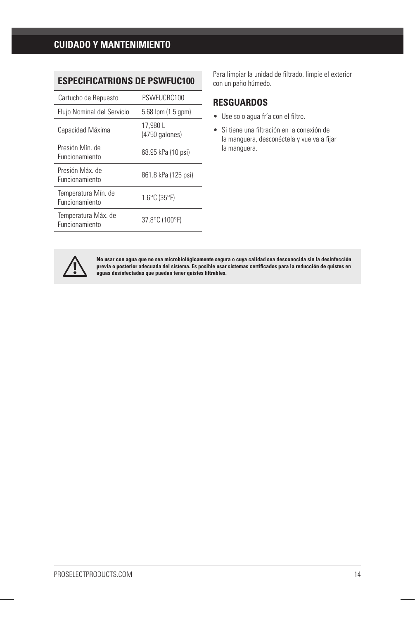## **CUIDADO Y MANTENIMIENTO**

## **ESPECIFICATRIONS DE PSWFUC100**

| Cartucho de Repuesto                  | PSWFUCRC100                       |
|---------------------------------------|-----------------------------------|
| Flujo Nominal del Servicio            | 5.68 lpm (1.5 gpm)                |
| Capacidad Máxima                      | 17.980 L<br>(4750 galones)        |
| Presión Mín. de<br>Funcionamiento     | 68.95 kPa (10 psi)                |
| Presión Máx de<br>Funcionamiento      | 861.8 kPa (125 psi)               |
| Temperatura Mín. de<br>Funcionamiento | $1.6^{\circ}$ C (35 $^{\circ}$ F) |
| Temperatura Máx. de<br>Funcionamiento | 37.8°C (100°F)                    |

Para limpiar la unidad de filtrado, limpie el exterior con un paño húmedo.

#### **RESGUARDOS**

- Use solo agua fría con el filtro.
- Si tiene una filtración en la conexión de la manguera, desconéctela y vuelva a fijar la manguera.



No usar con agua que no sea microbiológicamente segura o cuya calidad sea desconocida sin la desinfección<br>previa o posterior adecuada del sistema. Es posible usar sistemas certificados para la reducción de quistes en **aguas desinfectadas que puedan tener quistes filtrables.**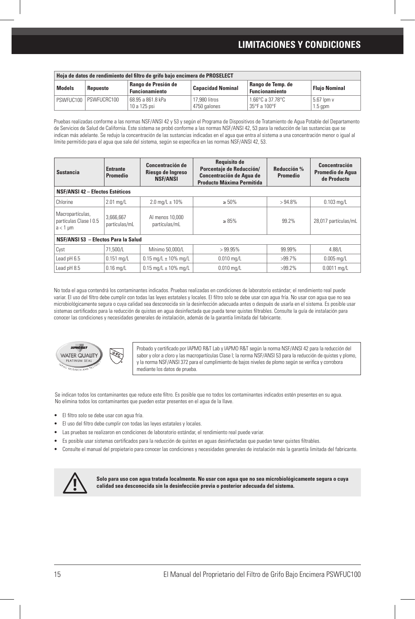### **LIMITACIONES Y CONDICIONES**

| Hoja de datos de rendimiento del filtro de grifo bajo encimera de PROSELECT |                       |                                              |                               |                                            |                         |  |
|-----------------------------------------------------------------------------|-----------------------|----------------------------------------------|-------------------------------|--------------------------------------------|-------------------------|--|
| <b>Models</b>                                                               | Repuesto              | Rango de Presión de<br><b>Funcionamiento</b> | <b>Capacidad Nominal</b>      | Rango de Temp. de<br><b>Funcionamiento</b> | <b>Fluio Nominal</b>    |  |
|                                                                             | PSWFUC100 PSWFUCRC100 | 68.95 a 861.8 kPa<br>10 a 125 psi            | 17,980 litros<br>4750 galones | 1.66°C a 37.78°C<br>35°F a 100°F           | 5.67 lpm v<br>$1.5$ gpm |  |

Pruebas realizadas conforme a las normas NSF/ANSI 42 y 53 y según el Programa de Dispositivos de Tratamiento de Agua Potable del Departamento de Servicios de Salud de California. Este sistema se probó conforme a las normas NSF/ANSI 42, 53 para la reducción de las sustancias que se indican más adelante. Se redujo la concentración de las sustancias indicadas en el agua que entra al sistema a una concentración menor o igual al límite permitido para el agua que sale del sistema, según se especifica en las normas NSF/ANSI 42, 53.

| <b>Sustancia</b>                                            | <b>Entrante</b><br>Promedio | Concentración de<br>Riesgo de Ingreso<br><b>NSF/ANSI</b> | <b>Requisito de</b><br>Porcentaje de Reducción/<br><b>Concentración de Agua de</b><br><b>Producto Máxima Permitida</b> | Reducción %<br>Promedio | Concentración<br>Promedio de Agua<br>de Producto |  |
|-------------------------------------------------------------|-----------------------------|----------------------------------------------------------|------------------------------------------------------------------------------------------------------------------------|-------------------------|--------------------------------------------------|--|
| <b>NSF/ANSI 42 - Efectos Estéticos</b>                      |                             |                                                          |                                                                                                                        |                         |                                                  |  |
| Chlorine                                                    | $2.01$ mg/L                 | $2.0 \text{ mg/L} \pm 10\%$                              | $\geq 50\%$                                                                                                            | $>94.8\%$               | $0.103$ mg/L                                     |  |
| Macropartículas,<br>partículas Clase I 0.5<br>$a < 1 \mu m$ | 3.666.667<br>partículas/mL  | Al menos 10,000<br>partículas/mL                         | $\geq 85\%$                                                                                                            | 99.2%                   | 28,017 partículas/mL                             |  |
| NSF/ANSI 53 - Efectos Para la Salud                         |                             |                                                          |                                                                                                                        |                         |                                                  |  |
| Cyst                                                        | 71.500/L                    | Mínimo 50,000/L                                          | >99.95%                                                                                                                | 99.99%                  | 4.88/L                                           |  |
| Lead pH 6.5                                                 | $0.151$ mg/L                | $0.15$ mg/L $\pm$ 10% mg/L                               | $0.010$ mg/L                                                                                                           | $>99.7\%$               | $0.005$ mg/L                                     |  |
| Lead pH 8.5                                                 | $0.16$ ma/L                 | $0.15$ ma/L $\pm$ 10% ma/L                               | $0.010$ ma/L                                                                                                           | $>99.2\%$               | $0.0011$ ma/L                                    |  |

No toda el agua contendrá los contaminantes indicados. Pruebas realizadas en condiciones de laboratorio estándar; el rendimiento real puede variar. El uso del filtro debe cumplir con todas las leyes estatales y locales. El filtro solo se debe usar con agua fría. No usar con agua que no sea microbiológicamente segura o cuya calidad sea desconocida sin la desinfección adecuada antes o después de usarla en el sistema. Es posible usar sistemas certificados para la reducción de quistes en agua desinfectada que pueda tener quistes filtrables. Consulte la guía de instalación para conocer las condiciones y necesidades generales de instalación, además de la garantía limitada del fabricante.



Probado y certificado por IAPMO R&T Lab y IAPMO R&T según la norma NSF/ANSI 42 para la reducción del sabor y olor a cloro y las macropartículas Clase I; la norma NSF/ANSI 53 para la reducción de quistes y plomo, y la norma NSF/ANSI 372 para el cumplimiento de bajos niveles de plomo según se verifica y corrobora mediante los datos de prueba.

Se indican todos los contaminantes que reduce este filtro. Es posible que no todos los contaminantes indicados estén presentes en su agua. No elimina todos los contaminantes que pueden estar presentes en el agua de la llave.

- El filtro solo se debe usar con agua fría.
- El uso del filtro debe cumplir con todas las leyes estatales y locales.
- Las pruebas se realizaron en condiciones de laboratorio estándar, el rendimiento real puede variar.
- Es posible usar sistemas certificados para la reducción de quistes en aguas desinfectadas que puedan tener quistes filtrables.
- Consulte el manual del propietario para conocer las condiciones y necesidades generales de instalación más la garantía limitada del fabricante.



**Solo para uso con agua tratada localmente. No usar con agua que no sea microbiológicamente segura o cuya calidad sea desconocida sin la desinfección previa o posterior adecuada del sistema.**